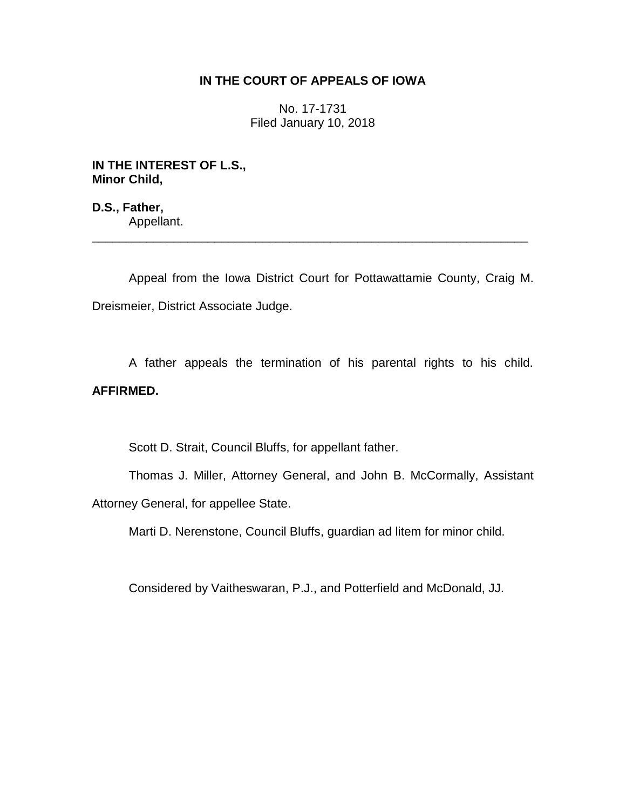## **IN THE COURT OF APPEALS OF IOWA**

No. 17-1731 Filed January 10, 2018

**IN THE INTEREST OF L.S., Minor Child,**

**D.S., Father,** Appellant. \_\_\_\_\_\_\_\_\_\_\_\_\_\_\_\_\_\_\_\_\_\_\_\_\_\_\_\_\_\_\_\_\_\_\_\_\_\_\_\_\_\_\_\_\_\_\_\_\_\_\_\_\_\_\_\_\_\_\_\_\_\_\_\_

Appeal from the Iowa District Court for Pottawattamie County, Craig M. Dreismeier, District Associate Judge.

A father appeals the termination of his parental rights to his child. **AFFIRMED.**

Scott D. Strait, Council Bluffs, for appellant father.

Thomas J. Miller, Attorney General, and John B. McCormally, Assistant Attorney General, for appellee State.

Marti D. Nerenstone, Council Bluffs, guardian ad litem for minor child.

Considered by Vaitheswaran, P.J., and Potterfield and McDonald, JJ.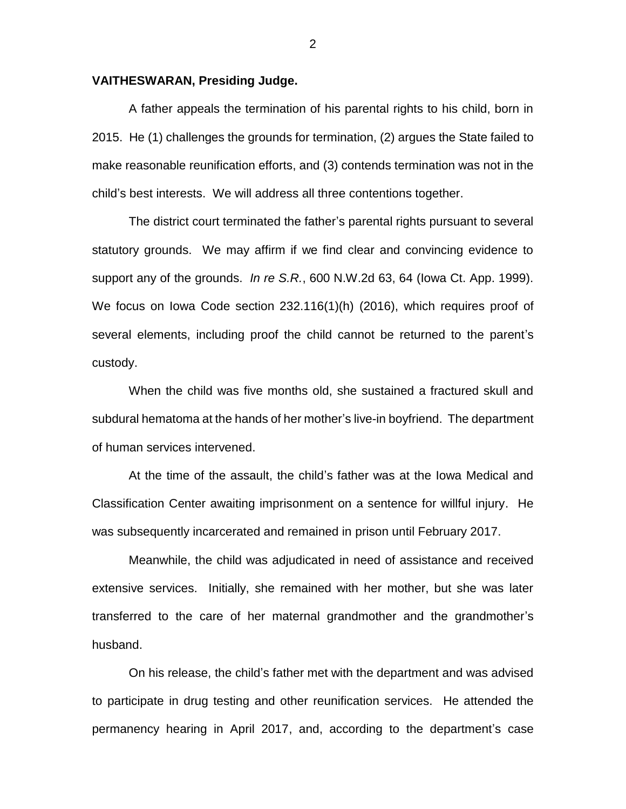## **VAITHESWARAN, Presiding Judge.**

A father appeals the termination of his parental rights to his child, born in 2015. He (1) challenges the grounds for termination, (2) argues the State failed to make reasonable reunification efforts, and (3) contends termination was not in the child's best interests. We will address all three contentions together.

The district court terminated the father's parental rights pursuant to several statutory grounds. We may affirm if we find clear and convincing evidence to support any of the grounds. *In re S.R.*, 600 N.W.2d 63, 64 (Iowa Ct. App. 1999). We focus on Iowa Code section 232.116(1)(h) (2016), which requires proof of several elements, including proof the child cannot be returned to the parent's custody.

When the child was five months old, she sustained a fractured skull and subdural hematoma at the hands of her mother's live-in boyfriend. The department of human services intervened.

At the time of the assault, the child's father was at the Iowa Medical and Classification Center awaiting imprisonment on a sentence for willful injury. He was subsequently incarcerated and remained in prison until February 2017.

Meanwhile, the child was adjudicated in need of assistance and received extensive services. Initially, she remained with her mother, but she was later transferred to the care of her maternal grandmother and the grandmother's husband.

On his release, the child's father met with the department and was advised to participate in drug testing and other reunification services. He attended the permanency hearing in April 2017, and, according to the department's case